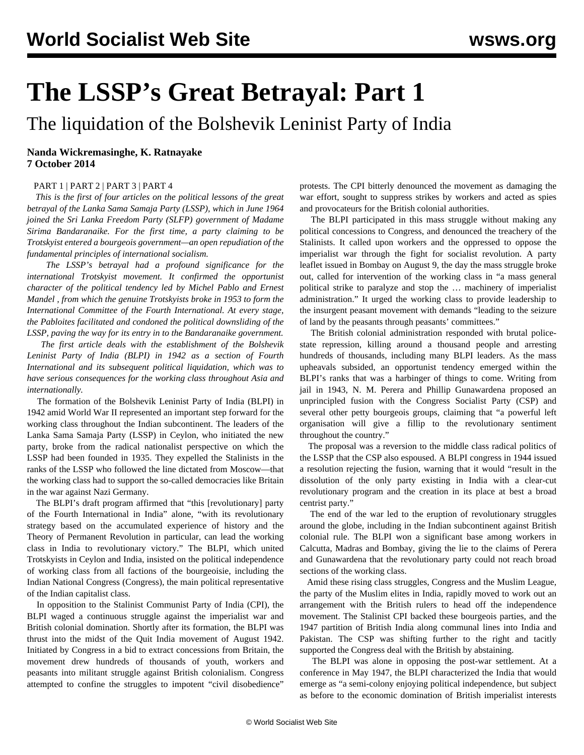## **The LSSP's Great Betrayal: Part 1**

The liquidation of the Bolshevik Leninist Party of India

## **Nanda Wickremasinghe, K. Ratnayake 7 October 2014**

## [PART 1](/en/articles/2014/10/07/blpi-o07.html) | [PART 2](/en/articles/2014/10/10/lssp-o10.html) | [PART 3](/en/articles/2014/10/14/lssp-s14.html) | [PART 4](/en/articles/2014/10/21/lssp-o21.html)

 *This is the first of four articles on the political lessons of the great betrayal of the Lanka Sama Samaja Party (LSSP), which in June 1964 joined the Sri Lanka Freedom Party (SLFP) government of Madame Sirima Bandaranaike. For the first time, a party claiming to be Trotskyist entered a bourgeois government—an open repudiation of the fundamental principles of international socialism.*

 *The LSSP's betrayal had a profound significance for the international Trotskyist movement. It confirmed the opportunist character of the political tendency led by Michel Pablo and Ernest Mandel , from which the genuine Trotskyists broke in 1953 to form the International Committee of the Fourth International. At every stage, the Pabloites facilitated and condoned the political downsliding of the LSSP, paving the way for its entry in to the Bandaranaike government.*

 *The first article deals with the establishment of the Bolshevik Leninist Party of India (BLPI) in 1942 as a section of Fourth International and its subsequent political liquidation, which was to have serious consequences for the working class throughout Asia and internationally.*

 The formation of the Bolshevik Leninist Party of India (BLPI) in 1942 amid World War II represented an important step forward for the working class throughout the Indian subcontinent. The leaders of the Lanka Sama Samaja Party (LSSP) in Ceylon, who initiated the new party, broke from the radical nationalist perspective on which the LSSP had been founded in 1935. They expelled the Stalinists in the ranks of the LSSP who followed the line dictated from Moscow—that the working class had to support the so-called democracies like Britain in the war against Nazi Germany.

 The BLPI's draft program affirmed that "this [revolutionary] party of the Fourth International in India" alone, "with its revolutionary strategy based on the accumulated experience of history and the Theory of Permanent Revolution in particular, can lead the working class in India to revolutionary victory." The BLPI, which united Trotskyists in Ceylon and India, insisted on the political independence of working class from all factions of the bourgeoisie, including the Indian National Congress (Congress), the main political representative of the Indian capitalist class.

 In opposition to the Stalinist Communist Party of India (CPI), the BLPI waged a continuous struggle against the imperialist war and British colonial domination. Shortly after its formation, the BLPI was thrust into the midst of the Quit India movement of August 1942. Initiated by Congress in a bid to extract concessions from Britain, the movement drew hundreds of thousands of youth, workers and peasants into militant struggle against British colonialism. Congress attempted to confine the struggles to impotent "civil disobedience"

protests. The CPI bitterly denounced the movement as damaging the war effort, sought to suppress strikes by workers and acted as spies and provocateurs for the British colonial authorities.

 The BLPI participated in this mass struggle without making any political concessions to Congress, and denounced the treachery of the Stalinists. It called upon workers and the oppressed to oppose the imperialist war through the fight for socialist revolution. A party leaflet issued in Bombay on August 9, the day the mass struggle broke out, called for intervention of the working class in "a mass general political strike to paralyze and stop the … machinery of imperialist administration." It urged the working class to provide leadership to the insurgent peasant movement with demands "leading to the seizure of land by the peasants through peasants' committees."

 The British colonial administration responded with brutal policestate repression, killing around a thousand people and arresting hundreds of thousands, including many BLPI leaders. As the mass upheavals subsided, an opportunist tendency emerged within the BLPI's ranks that was a harbinger of things to come. Writing from jail in 1943, N. M. Perera and Phillip Gunawardena proposed an unprincipled fusion with the Congress Socialist Party (CSP) and several other petty bourgeois groups, claiming that "a powerful left organisation will give a fillip to the revolutionary sentiment throughout the country."

 The proposal was a reversion to the middle class radical politics of the LSSP that the CSP also espoused. A BLPI congress in 1944 issued a resolution rejecting the fusion, warning that it would "result in the dissolution of the only party existing in India with a clear-cut revolutionary program and the creation in its place at best a broad centrist party."

 The end of the war led to the eruption of revolutionary struggles around the globe, including in the Indian subcontinent against British colonial rule. The BLPI won a significant base among workers in Calcutta, Madras and Bombay, giving the lie to the claims of Perera and Gunawardena that the revolutionary party could not reach broad sections of the working class.

 Amid these rising class struggles, Congress and the Muslim League, the party of the Muslim elites in India, rapidly moved to work out an arrangement with the British rulers to head off the independence movement. The Stalinist CPI backed these bourgeois parties, and the 1947 partition of British India along communal lines into India and Pakistan. The CSP was shifting further to the right and tacitly supported the Congress deal with the British by abstaining.

 The BLPI was alone in opposing the post-war settlement. At a conference in May 1947, the BLPI characterized the India that would emerge as "a semi-colony enjoying political independence, but subject as before to the economic domination of British imperialist interests